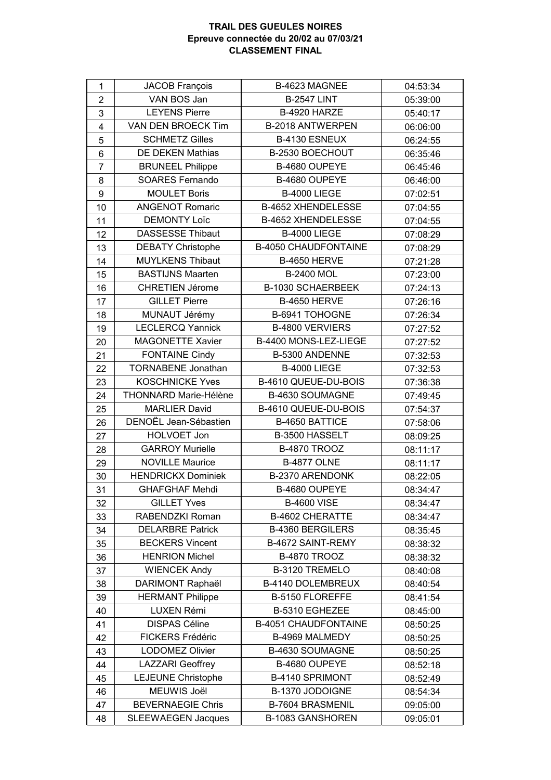## **TRAIL DES GUEULES NOIRES Epreuve connectée du 20/02 au 07/03/21 CLASSEMENT FINAL**

| $\mathbf 1$             | <b>JACOB François</b>     | B-4623 MAGNEE               | 04:53:34 |
|-------------------------|---------------------------|-----------------------------|----------|
| $\overline{2}$          | VAN BOS Jan               | <b>B-2547 LINT</b>          | 05:39:00 |
| 3                       | <b>LEYENS Pierre</b>      | B-4920 HARZE                | 05:40:17 |
| $\overline{\mathbf{4}}$ | VAN DEN BROECK Tim        | <b>B-2018 ANTWERPEN</b>     | 06:06:00 |
| 5                       | <b>SCHMETZ Gilles</b>     | B-4130 ESNEUX               | 06:24:55 |
| $\,6$                   | DE DEKEN Mathias          | B-2530 BOECHOUT             | 06:35:46 |
| $\overline{7}$          | <b>BRUNEEL Philippe</b>   | B-4680 OUPEYE               | 06:45:46 |
| 8                       | SOARES Fernando           | B-4680 OUPEYE               | 06:46:00 |
| $\boldsymbol{9}$        | <b>MOULET Boris</b>       | <b>B-4000 LIEGE</b>         | 07:02:51 |
| 10                      | <b>ANGENOT Romaric</b>    | <b>B-4652 XHENDELESSE</b>   | 07:04:55 |
| 11                      | <b>DEMONTY Loïc</b>       | <b>B-4652 XHENDELESSE</b>   | 07:04:55 |
| 12                      | <b>DASSESSE Thibaut</b>   | <b>B-4000 LIEGE</b>         | 07:08:29 |
| 13                      | <b>DEBATY Christophe</b>  | <b>B-4050 CHAUDFONTAINE</b> | 07:08:29 |
| 14                      | <b>MUYLKENS Thibaut</b>   | <b>B-4650 HERVE</b>         | 07:21:28 |
| 15                      | <b>BASTIJNS Maarten</b>   | <b>B-2400 MOL</b>           | 07:23:00 |
| 16                      | <b>CHRETIEN Jérome</b>    | <b>B-1030 SCHAERBEEK</b>    | 07:24:13 |
| 17                      | <b>GILLET Pierre</b>      | <b>B-4650 HERVE</b>         | 07:26:16 |
| 18                      | MUNAUT Jérémy             | B-6941 TOHOGNE              | 07:26:34 |
| 19                      | <b>LECLERCQ Yannick</b>   | B-4800 VERVIERS             | 07:27:52 |
| 20                      | <b>MAGONETTE Xavier</b>   | B-4400 MONS-LEZ-LIEGE       | 07:27:52 |
| 21                      | <b>FONTAINE Cindy</b>     | B-5300 ANDENNE              | 07:32:53 |
| 22                      | <b>TORNABENE Jonathan</b> | <b>B-4000 LIEGE</b>         | 07:32:53 |
| 23                      | <b>KOSCHNICKE Yves</b>    | B-4610 QUEUE-DU-BOIS        | 07:36:38 |
| 24                      | THONNARD Marie-Hélène     | B-4630 SOUMAGNE             | 07:49:45 |
| 25                      | <b>MARLIER David</b>      | B-4610 QUEUE-DU-BOIS        | 07:54:37 |
| 26                      | DENOËL Jean-Sébastien     | <b>B-4650 BATTICE</b>       | 07:58:06 |
| 27                      | HOLVOET Jon               | B-3500 HASSELT              | 08:09:25 |
| 28                      | <b>GARROY Murielle</b>    | <b>B-4870 TROOZ</b>         | 08:11:17 |
| 29                      | <b>NOVILLE Maurice</b>    | <b>B-4877 OLNE</b>          | 08:11:17 |
| 30                      | <b>HENDRICKX Dominiek</b> | B-2370 ARENDONK             | 08:22:05 |
| 31                      | <b>GHAFGHAF Mehdi</b>     | B-4680 OUPEYE               | 08:34:47 |
| 32                      | <b>GILLET Yves</b>        | <b>B-4600 VISE</b>          | 08:34:47 |
| 33                      | RABENDZKI Roman           | <b>B-4602 CHERATTE</b>      | 08:34:47 |
| 34                      | <b>DELARBRE Patrick</b>   | <b>B-4360 BERGILERS</b>     | 08:35:45 |
| 35                      | <b>BECKERS Vincent</b>    | B-4672 SAINT-REMY           | 08:38:32 |
| 36                      | <b>HENRION Michel</b>     | <b>B-4870 TROOZ</b>         | 08:38:32 |
| 37                      | <b>WIENCEK Andy</b>       | B-3120 TREMELO              | 08:40:08 |
| 38                      | DARIMONT Raphaël          | B-4140 DOLEMBREUX           | 08:40:54 |
| 39                      | <b>HERMANT Philippe</b>   | B-5150 FLOREFFE             | 08:41:54 |
| 40                      | <b>LUXEN Rémi</b>         | B-5310 EGHEZEE              | 08:45:00 |
| 41                      | <b>DISPAS Céline</b>      | <b>B-4051 CHAUDFONTAINE</b> | 08:50:25 |
| 42                      | <b>FICKERS Frédéric</b>   | B-4969 MALMEDY              | 08:50:25 |
| 43                      | <b>LODOMEZ Olivier</b>    | B-4630 SOUMAGNE             | 08:50:25 |
| 44                      | <b>LAZZARI</b> Geoffrey   | B-4680 OUPEYE               | 08:52:18 |
| 45                      | <b>LEJEUNE Christophe</b> | B-4140 SPRIMONT             | 08:52:49 |
| 46                      | MEUWIS Joël               | B-1370 JODOIGNE             | 08:54:34 |
| 47                      | <b>BEVERNAEGIE Chris</b>  | <b>B-7604 BRASMENIL</b>     | 09:05:00 |
| 48                      | <b>SLEEWAEGEN Jacques</b> | <b>B-1083 GANSHOREN</b>     | 09:05:01 |